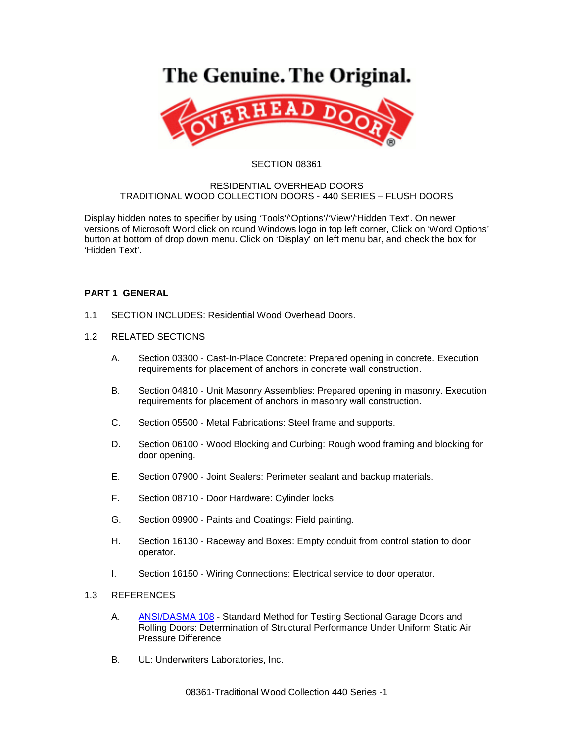# The Genuine. The Original.



### SECTION 08361

### RESIDENTIAL OVERHEAD DOORS TRADITIONAL WOOD COLLECTION DOORS - 440 SERIES – FLUSH DOORS

Display hidden notes to specifier by using 'Tools'/'Options'/'View'/'Hidden Text'. On newer versions of Microsoft Word click on round Windows logo in top left corner, Click on 'Word Options' button at bottom of drop down menu. Click on 'Display' on left menu bar, and check the box for 'Hidden Text'.

# **PART 1 GENERAL**

- 1.1 SECTION INCLUDES: Residential Wood Overhead Doors.
- 1.2 RELATED SECTIONS
	- A. Section 03300 Cast-In-Place Concrete: Prepared opening in concrete. Execution requirements for placement of anchors in concrete wall construction.
	- B. Section 04810 Unit Masonry Assemblies: Prepared opening in masonry. Execution requirements for placement of anchors in masonry wall construction.
	- C. Section 05500 Metal Fabrications: Steel frame and supports.
	- D. Section 06100 Wood Blocking and Curbing: Rough wood framing and blocking for door opening.
	- E. Section 07900 Joint Sealers: Perimeter sealant and backup materials.
	- F. Section 08710 Door Hardware: Cylinder locks.
	- G. Section 09900 Paints and Coatings: Field painting.
	- H. Section 16130 Raceway and Boxes: Empty conduit from control station to door operator.
	- I. Section 16150 Wiring Connections: Electrical service to door operator.

## 1.3 REFERENCES

- A. [ANSI/DASMA 108](http://www.dasma.com/PDF/Publications/Standards/108-2005.pdf) Standard Method for Testing Sectional Garage Doors and Rolling Doors: Determination of Structural Performance Under Uniform Static Air Pressure Difference
- B. UL: Underwriters Laboratories, Inc.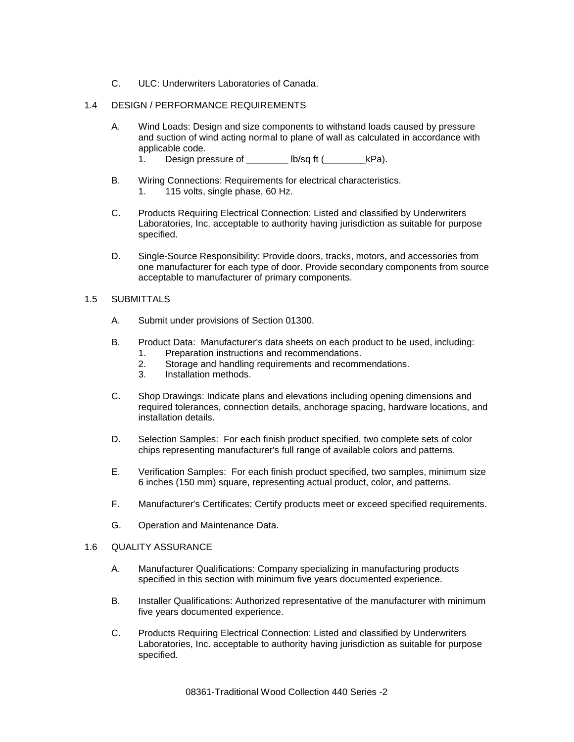C. ULC: Underwriters Laboratories of Canada.

## 1.4 DESIGN / PERFORMANCE REQUIREMENTS

- A. Wind Loads: Design and size components to withstand loads caused by pressure and suction of wind acting normal to plane of wall as calculated in accordance with applicable code.
	- 1. Design pressure of \_\_\_\_\_\_\_\_ lb/sq ft (\_\_\_\_\_\_\_\_\_kPa).
- B. Wiring Connections: Requirements for electrical characteristics. 1. 115 volts, single phase, 60 Hz.
- C. Products Requiring Electrical Connection: Listed and classified by Underwriters Laboratories, Inc. acceptable to authority having jurisdiction as suitable for purpose specified.
- D. Single-Source Responsibility: Provide doors, tracks, motors, and accessories from one manufacturer for each type of door. Provide secondary components from source acceptable to manufacturer of primary components.

#### 1.5 SUBMITTALS

- A. Submit under provisions of Section 01300.
- B. Product Data: Manufacturer's data sheets on each product to be used, including:
	- 1. Preparation instructions and recommendations.
	- 2. Storage and handling requirements and recommendations.
	- 3. Installation methods.
- C. Shop Drawings: Indicate plans and elevations including opening dimensions and required tolerances, connection details, anchorage spacing, hardware locations, and installation details.
- D. Selection Samples: For each finish product specified, two complete sets of color chips representing manufacturer's full range of available colors and patterns.
- E. Verification Samples: For each finish product specified, two samples, minimum size 6 inches (150 mm) square, representing actual product, color, and patterns.
- F. Manufacturer's Certificates: Certify products meet or exceed specified requirements.
- G. Operation and Maintenance Data.

#### 1.6 QUALITY ASSURANCE

- A. Manufacturer Qualifications: Company specializing in manufacturing products specified in this section with minimum five years documented experience.
- B. Installer Qualifications: Authorized representative of the manufacturer with minimum five years documented experience.
- C. Products Requiring Electrical Connection: Listed and classified by Underwriters Laboratories, Inc. acceptable to authority having jurisdiction as suitable for purpose specified.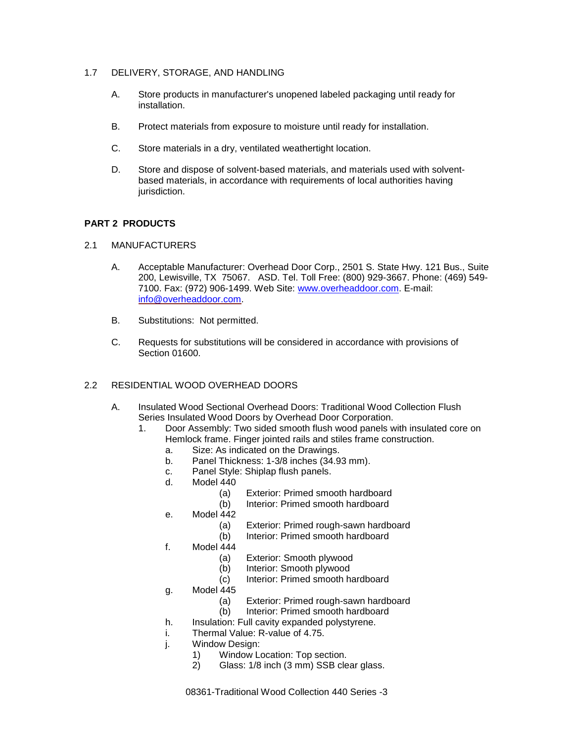- 1.7 DELIVERY, STORAGE, AND HANDLING
	- A. Store products in manufacturer's unopened labeled packaging until ready for installation.
	- B. Protect materials from exposure to moisture until ready for installation.
	- C. Store materials in a dry, ventilated weathertight location.
	- D. Store and dispose of solvent-based materials, and materials used with solventbased materials, in accordance with requirements of local authorities having jurisdiction.

# **PART 2 PRODUCTS**

- 2.1 MANUFACTURERS
	- A. Acceptable Manufacturer: Overhead Door Corp., 2501 S. State Hwy. 121 Bus., Suite 200, Lewisville, TX 75067. ASD. Tel. Toll Free: (800) 929-3667. Phone: (469) 549- 7100. Fax: (972) 906-1499. Web Site: [www.overheaddoor.com.](http://www.overheaddoor.com/) E-mail: [info@overheaddoor.com.](mailto:info@overheaddoor.com)
	- B. Substitutions: Not permitted.
	- C. Requests for substitutions will be considered in accordance with provisions of Section 01600.

# 2.2 RESIDENTIAL WOOD OVERHEAD DOORS

- A. Insulated Wood Sectional Overhead Doors: Traditional Wood Collection Flush Series Insulated Wood Doors by Overhead Door Corporation.
	- 1. Door Assembly: Two sided smooth flush wood panels with insulated core on Hemlock frame. Finger jointed rails and stiles frame construction.
		- a. Size: As indicated on the Drawings.
		- b. Panel Thickness: 1-3/8 inches (34.93 mm).
		- c. Panel Style: Shiplap flush panels.
		- d. Model 440
			- (a) Exterior: Primed smooth hardboard
			- (b) Interior: Primed smooth hardboard
		- e. Model 442
			- (a) Exterior: Primed rough-sawn hardboard
			- (b) Interior: Primed smooth hardboard
		- f. Model 444
			- (a) Exterior: Smooth plywood
			- (b) Interior: Smooth plywood
			- (c) Interior: Primed smooth hardboard
		- g. Model 445
			- (a) Exterior: Primed rough-sawn hardboard
			- (b) Interior: Primed smooth hardboard
		- h. Insulation: Full cavity expanded polystyrene.
		- i. Thermal Value: R-value of 4.75.
		- j. Window Design:
			- 1) Window Location: Top section.
			- 2) Glass: 1/8 inch (3 mm) SSB clear glass.

08361-Traditional Wood Collection 440 Series -3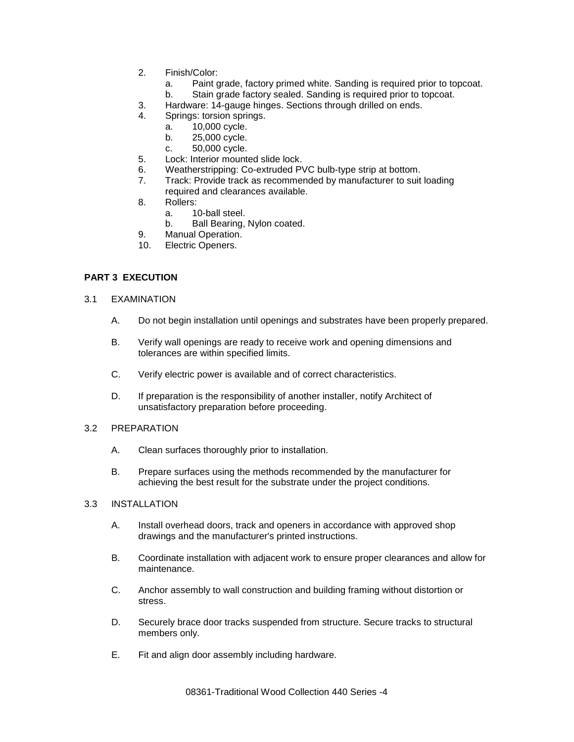- 2. Finish/Color:
	- a. Paint grade, factory primed white. Sanding is required prior to topcoat.
	- b. Stain grade factory sealed. Sanding is required prior to topcoat.
- 3. Hardware: 14-gauge hinges. Sections through drilled on ends.
- 4. Springs: torsion springs.
	- a. 10,000 cycle.
	- b. 25,000 cycle.
	- c. 50,000 cycle.
- 5. Lock: Interior mounted slide lock.
- 6. Weatherstripping: Co-extruded PVC bulb-type strip at bottom.
- 7. Track: Provide track as recommended by manufacturer to suit loading required and clearances available.
- 8. Rollers:
	- a. 10-ball steel.
	- b. Ball Bearing, Nylon coated.
- 9. Manual Operation.
- 10. Electric Openers.

# **PART 3 EXECUTION**

- 3.1 EXAMINATION
	- A. Do not begin installation until openings and substrates have been properly prepared.
	- B. Verify wall openings are ready to receive work and opening dimensions and tolerances are within specified limits.
	- C. Verify electric power is available and of correct characteristics.
	- D. If preparation is the responsibility of another installer, notify Architect of unsatisfactory preparation before proceeding.
- 3.2 PREPARATION
	- A. Clean surfaces thoroughly prior to installation.
	- B. Prepare surfaces using the methods recommended by the manufacturer for achieving the best result for the substrate under the project conditions.

#### 3.3 INSTALLATION

- A. Install overhead doors, track and openers in accordance with approved shop drawings and the manufacturer's printed instructions.
- B. Coordinate installation with adjacent work to ensure proper clearances and allow for maintenance.
- C. Anchor assembly to wall construction and building framing without distortion or stress.
- D. Securely brace door tracks suspended from structure. Secure tracks to structural members only.
- E. Fit and align door assembly including hardware.